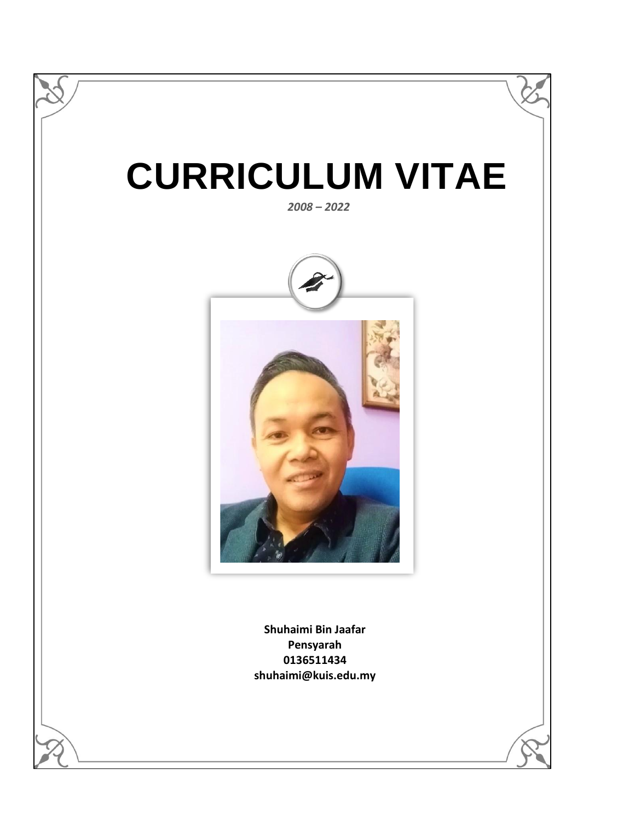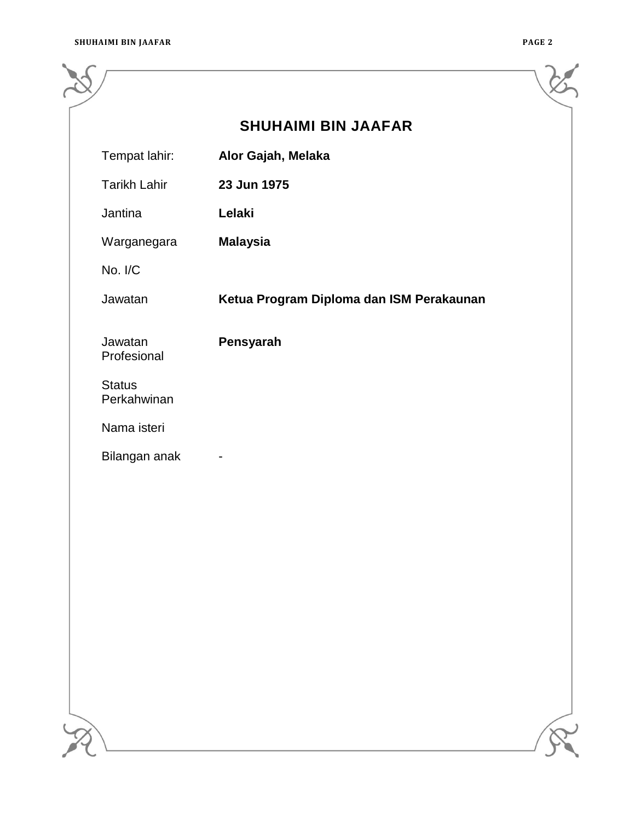|                              | <b>SHUHAIMI BIN JAAFAR</b>               |  |
|------------------------------|------------------------------------------|--|
| Tempat lahir:                | Alor Gajah, Melaka                       |  |
| <b>Tarikh Lahir</b>          | 23 Jun 1975                              |  |
| Jantina                      | Lelaki                                   |  |
| Warganegara                  | <b>Malaysia</b>                          |  |
| No. I/C                      |                                          |  |
| Jawatan                      | Ketua Program Diploma dan ISM Perakaunan |  |
| Jawatan<br>Profesional       | Pensyarah                                |  |
| <b>Status</b><br>Perkahwinan |                                          |  |
| Nama isteri                  |                                          |  |
| Bilangan anak                |                                          |  |
|                              |                                          |  |
|                              |                                          |  |
|                              |                                          |  |
|                              |                                          |  |
|                              |                                          |  |
|                              |                                          |  |
|                              |                                          |  |
|                              |                                          |  |
|                              |                                          |  |
|                              |                                          |  |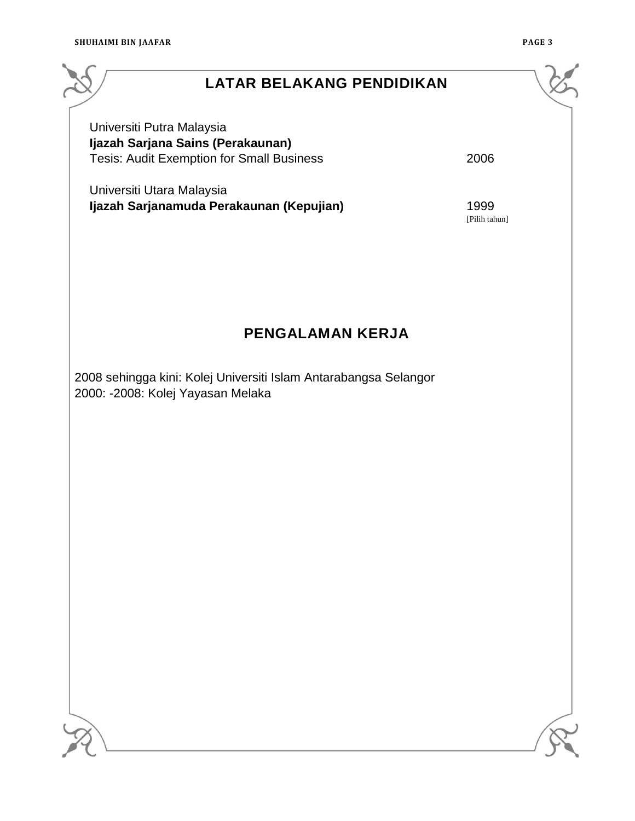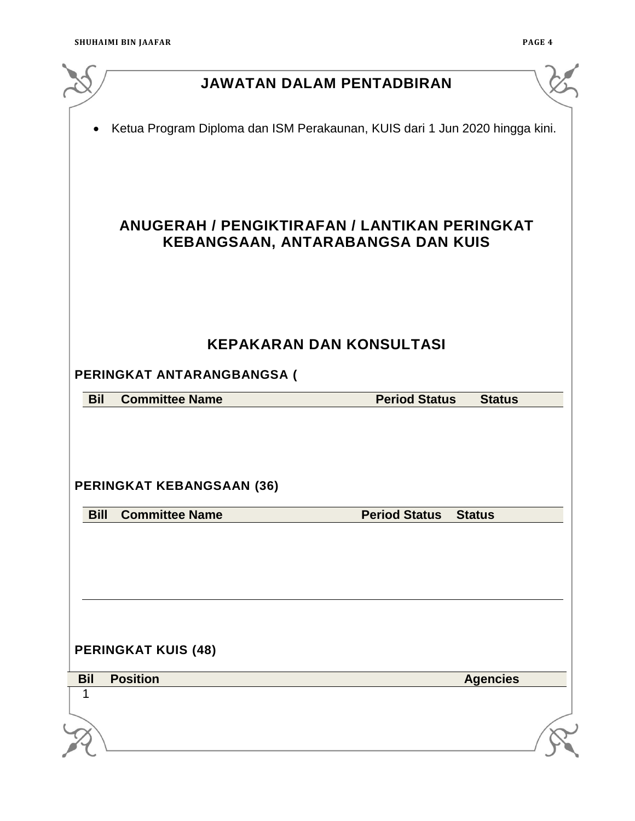|             |                                  | <b>JAWATAN DALAM PENTADBIRAN</b>                                            |                 |
|-------------|----------------------------------|-----------------------------------------------------------------------------|-----------------|
| ٠           |                                  | Ketua Program Diploma dan ISM Perakaunan, KUIS dari 1 Jun 2020 hingga kini. |                 |
|             |                                  |                                                                             |                 |
|             |                                  | ANUGERAH / PENGIKTIRAFAN / LANTIKAN PERINGKAT                               |                 |
|             |                                  | KEBANGSAAN, ANTARABANGSA DAN KUIS                                           |                 |
|             |                                  |                                                                             |                 |
|             |                                  | <b>KEPAKARAN DAN KONSULTASI</b>                                             |                 |
|             | PERINGKAT ANTARANGBANGSA (       |                                                                             |                 |
| <b>Bil</b>  | <b>Committee Name</b>            | <b>Period Status</b>                                                        | <b>Status</b>   |
|             | <b>PERINGKAT KEBANGSAAN (36)</b> |                                                                             |                 |
| <b>Bill</b> | <b>Committee Name</b>            | <b>Period Status</b>                                                        | <b>Status</b>   |
|             |                                  |                                                                             |                 |
|             | <b>PERINGKAT KUIS (48)</b>       |                                                                             |                 |
| <b>Bil</b>  | <b>Position</b>                  |                                                                             | <b>Agencies</b> |
|             |                                  |                                                                             |                 |
|             |                                  |                                                                             |                 |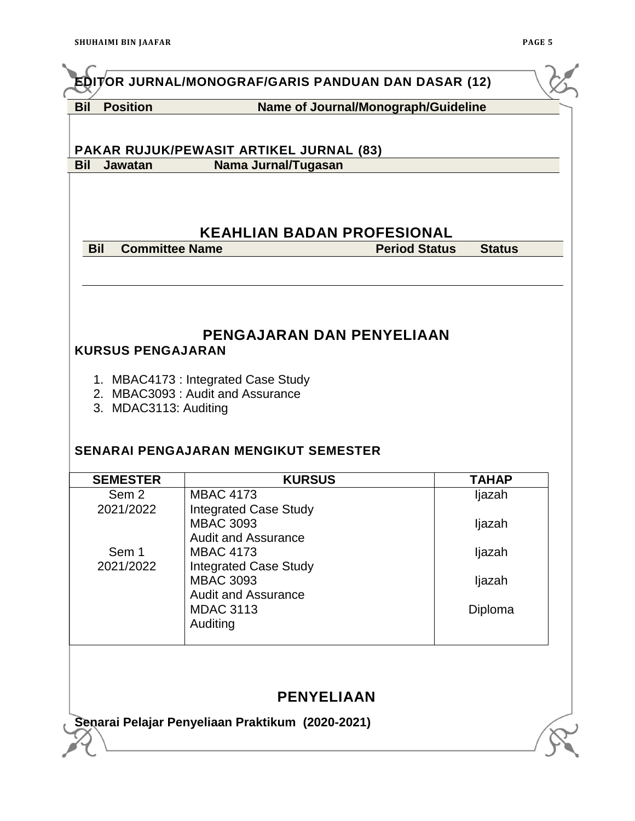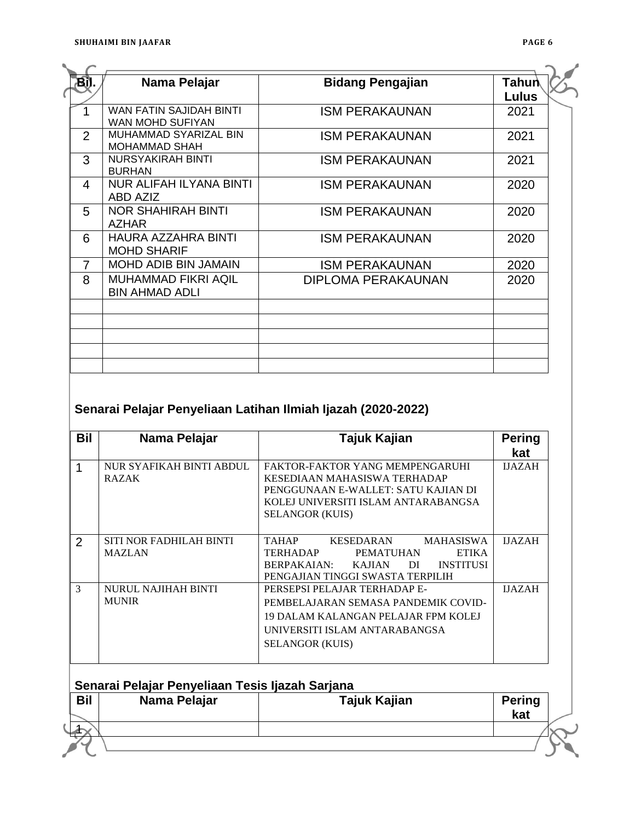| <b>BD.</b>     | Nama Pelajar                                         | <b>Bidang Pengajian</b>   | Tahun<br>Lulus |
|----------------|------------------------------------------------------|---------------------------|----------------|
|                | <b>WAN FATIN SAJIDAH BINTI</b><br>WAN MOHD SUFIYAN   | <b>ISM PERAKAUNAN</b>     | 2021           |
| $\overline{2}$ | <b>MUHAMMAD SYARIZAL BIN</b><br><b>MOHAMMAD SHAH</b> | <b>ISM PERAKAUNAN</b>     | 2021           |
| 3              | <b>NURSYAKIRAH BINTI</b><br><b>BURHAN</b>            | <b>ISM PERAKAUNAN</b>     | 2021           |
| 4              | <b>NUR ALIFAH ILYANA BINTI</b><br>ABD AZIZ           | <b>ISM PERAKAUNAN</b>     | 2020           |
| 5              | NOR SHAHIRAH BINTI<br><b>AZHAR</b>                   | <b>ISM PERAKAUNAN</b>     | 2020           |
| 6              | <b>HAURA AZZAHRA BINTI</b><br><b>MOHD SHARIF</b>     | <b>ISM PERAKAUNAN</b>     | 2020           |
| $\overline{7}$ | <b>MOHD ADIB BIN JAMAIN</b>                          | <b>ISM PERAKAUNAN</b>     | 2020           |
| 8              | <b>MUHAMMAD FIKRI AQIL</b><br><b>BIN AHMAD ADLI</b>  | <b>DIPLOMA PERAKAUNAN</b> | 2020           |
|                |                                                      |                           |                |
|                |                                                      |                           |                |
|                |                                                      |                           |                |

# **Senarai Pelajar Penyeliaan Latihan Ilmiah Ijazah (2020-2022)**

| Bil | Nama Pelajar             | Tajuk Kajian                                                  | <b>Pering</b> |
|-----|--------------------------|---------------------------------------------------------------|---------------|
|     |                          |                                                               | kat           |
|     | NUR SYAFIKAH BINTI ABDUL | FAKTOR-FAKTOR YANG MEMPENGARUHI                               | <b>IJAZAH</b> |
|     | <b>RAZAK</b>             | KESEDIAAN MAHASISWA TERHADAP                                  |               |
|     |                          | PENGGUNAAN E-WALLET: SATU KAJIAN DI                           |               |
|     |                          | KOLEJ UNIVERSITI ISLAM ANTARABANGSA                           |               |
|     |                          | <b>SELANGOR (KUIS)</b>                                        |               |
|     |                          |                                                               |               |
| 2   | SITI NOR FADHILAH BINTI  | <b>TAHAP</b><br>KESEDARAN<br><b>MAHASISWA</b>                 | <b>IJAZAH</b> |
|     | <b>MAZLAN</b>            | <b>TERHADAP</b><br><b>ETIKA</b><br><b>PEMATUHAN</b>           |               |
|     |                          | <b>BERPAKAIAN:</b><br><b>INSTITUSI</b><br><b>KAJJAN</b><br>DI |               |
|     |                          | PENGAJIAN TINGGI SWASTA TERPILIH                              |               |
| 3   | NURUL NAJIHAH BINTI      | PERSEPSI PELAJAR TERHADAP E-                                  | <b>IJAZAH</b> |
|     | <b>MUNIR</b>             | PEMBELAJARAN SEMASA PANDEMIK COVID-                           |               |
|     |                          | 19 DALAM KALANGAN PELAJAR FPM KOLEJ                           |               |
|     |                          | UNIVERSITI ISLAM ANTARABANGSA                                 |               |
|     |                          | <b>SELANGOR (KUIS)</b>                                        |               |
|     |                          |                                                               |               |

|            | Senarai Pelajar Penyeliaan Tesis Ijazah Sarjana |              |               |
|------------|-------------------------------------------------|--------------|---------------|
| <b>Bil</b> | Nama Pelajar                                    | Tajuk Kajian | <b>Pering</b> |
|            |                                                 |              | kat           |
|            |                                                 |              |               |
|            |                                                 |              |               |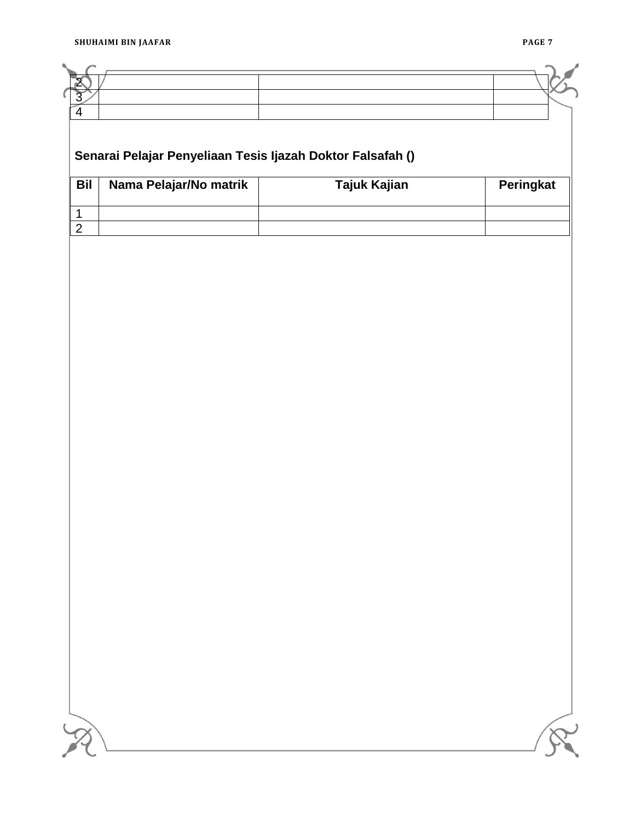# **Senarai Pelajar Penyeliaan Tesis Ijazah Doktor Falsafah () Bil Nama Pelajar/No matrik Tajuk Kajian Peringkat**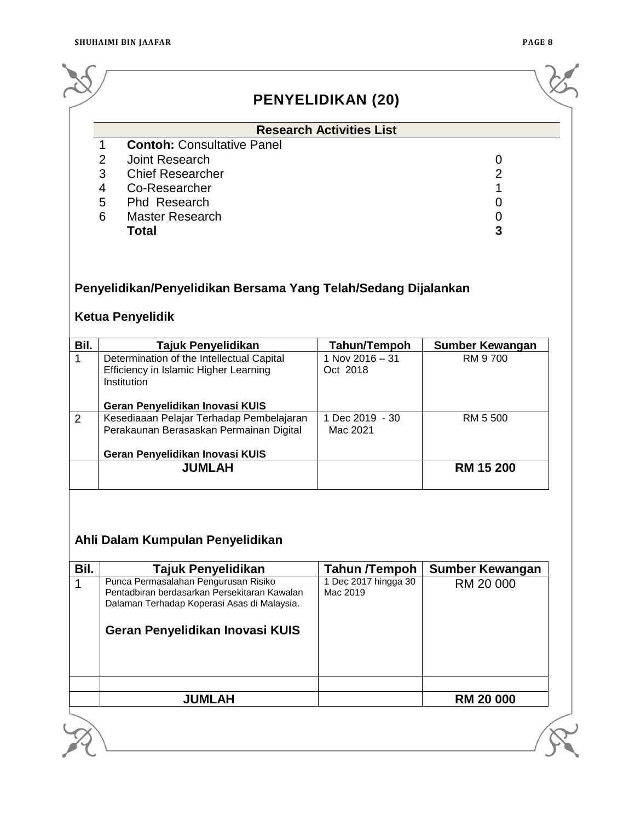|      |                                                                                                   | <b>PENYELIDIKAN (20)</b>        |                        |
|------|---------------------------------------------------------------------------------------------------|---------------------------------|------------------------|
|      |                                                                                                   |                                 |                        |
|      | <b>Contoh: Consultative Panel</b><br>1                                                            | <b>Research Activities List</b> |                        |
|      | $\overline{2}$<br>Joint Research                                                                  |                                 | 0                      |
|      | 3<br><b>Chief Researcher</b>                                                                      |                                 | $\overline{2}$         |
|      | 4<br>Co-Researcher                                                                                |                                 | 1                      |
|      | 5<br>Phd Research                                                                                 |                                 | 0                      |
|      | 6<br><b>Master Research</b>                                                                       |                                 | $\mathbf 0$            |
|      | <b>Total</b>                                                                                      |                                 | 3                      |
|      | Penyelidikan/Penyelidikan Bersama Yang Telah/Sedang Dijalankan<br><b>Ketua Penyelidik</b>         |                                 |                        |
|      |                                                                                                   |                                 |                        |
|      | Tajuk Penyelidikan                                                                                | Tahun/Tempoh                    | <b>Sumber Kewangan</b> |
|      | Determination of the Intellectual Capital<br>Efficiency in Islamic Higher Learning<br>Institution | 1 Nov 2016 - 31<br>Oct 2018     | RM 9700                |
|      |                                                                                                   |                                 |                        |
|      | Geran Penyelidikan Inovasi KUIS<br>Kesediaaan Pelajar Terhadap Pembelajaran                       | 1 Dec 2019 - 30                 | RM 5 500               |
|      | Perakaunan Berasaskan Permainan Digital                                                           | Mac 2021                        |                        |
| Bil. | Geran Penyelidikan Inovasi KUIS                                                                   |                                 |                        |

# **Ahli Dalam Kumpulan Penyelidikan**

| Bil. | Tajuk Penyelidikan                                                                                                                                                     | <b>Tahun /Tempoh</b>             | <b>Sumber Kewangan</b> |
|------|------------------------------------------------------------------------------------------------------------------------------------------------------------------------|----------------------------------|------------------------|
|      | Punca Permasalahan Pengurusan Risiko<br>Pentadbiran berdasarkan Persekitaran Kawalan<br>Dalaman Terhadap Koperasi Asas di Malaysia.<br>Geran Penyelidikan Inovasi KUIS | 1 Dec 2017 hingga 30<br>Mac 2019 | RM 20 000              |
|      | <b>JUMLAH</b>                                                                                                                                                          |                                  | <b>RM 20 000</b>       |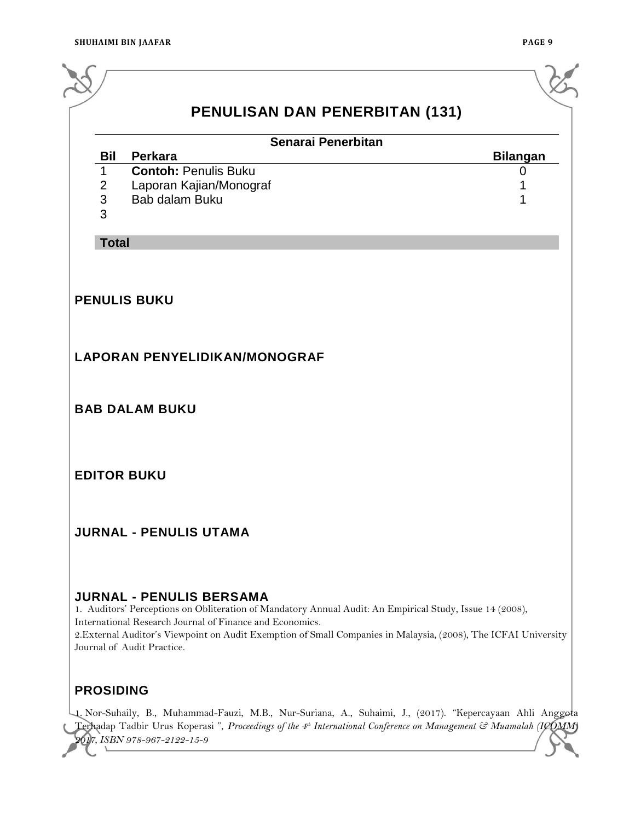|                                   | <b>PENULISAN DAN PENERBITAN (131)</b><br>Senarai Penerbitan                                                                                                                                                                                                                                                                                              |                 |
|-----------------------------------|----------------------------------------------------------------------------------------------------------------------------------------------------------------------------------------------------------------------------------------------------------------------------------------------------------------------------------------------------------|-----------------|
| <b>Bil</b>                        | Perkara                                                                                                                                                                                                                                                                                                                                                  | <b>Bilangan</b> |
| $\mathbf 1$<br>$\frac{2}{3}$<br>3 | <b>Contoh: Penulis Buku</b><br>Laporan Kajian/Monograf<br>Bab dalam Buku                                                                                                                                                                                                                                                                                 | 0               |
| <b>Total</b>                      |                                                                                                                                                                                                                                                                                                                                                          |                 |
|                                   | <b>LAPORAN PENYELIDIKAN/MONOGRAF</b>                                                                                                                                                                                                                                                                                                                     |                 |
|                                   | <b>BAB DALAM BUKU</b>                                                                                                                                                                                                                                                                                                                                    |                 |
|                                   | <b>EDITOR BUKU</b>                                                                                                                                                                                                                                                                                                                                       |                 |
|                                   | <b>JURNAL - PENULIS UTAMA</b>                                                                                                                                                                                                                                                                                                                            |                 |
|                                   | <b>JURNAL - PENULIS BERSAMA</b><br>1. Auditors' Perceptions on Obliteration of Mandatory Annual Audit: An Empirical Study, Issue 14 (2008),<br>International Research Journal of Finance and Economics.<br>2. External Auditor's Viewpoint on Audit Exemption of Small Companies in Malaysia, (2008), The ICFAI University<br>Journal of Audit Practice. |                 |

1. Nor-Suhaily, B., Muhammad-Fauzi, M.B., Nur-Suriana, A., Suhaimi, J., (2017). "Kepercayaan Ahli Anggota Terhadap Tadbir Urus Koperasi ", *Proceedings of the 4 th International Conference on Management & Muamalah (ICOMM) 2017, ISBN 978-967-2122-15-9*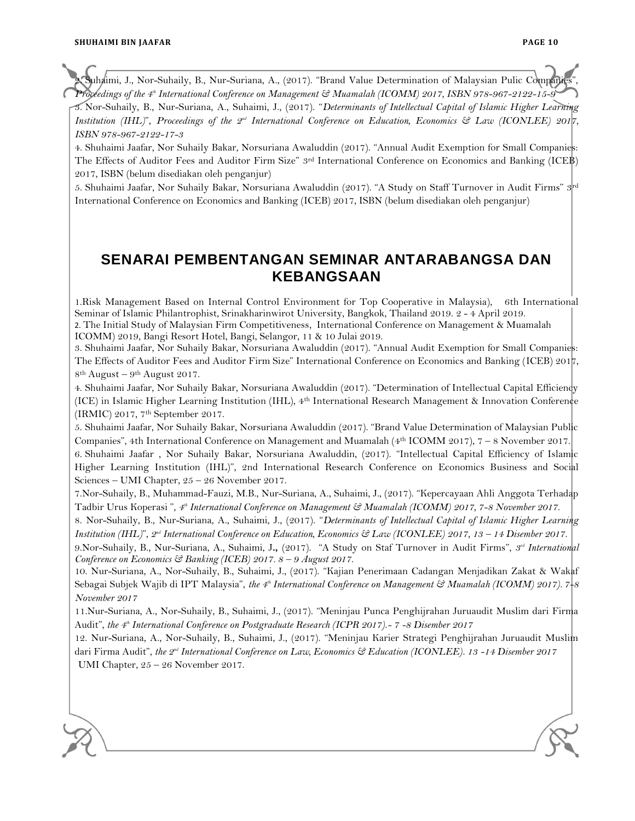uhaimi, J., Nor-Suhaily, B., Nur-Suriana, A., (2017). "Brand Value Determination of Malaysian Pulic Compan *Proceedings of the 4th International Conference on Management & Muamalah (ICOMM) 2017, ISBN 978-967-2122-15-9*

3. Nor-Suhaily, B., Nur-Suriana, A., Suhaimi, J., (2017). "*Determinants of Intellectual Capital of Islamic Higher Learning Institution (IHL)*", *Proceedings of the 2<sup>nd</sup> International Conference on Education, Economics & Law (ICONLEE) 2017, ISBN 978-967-2122-17-3*

4. Shuhaimi Jaafar, Nor Suhaily Bakar, Norsuriana Awaluddin (2017). "Annual Audit Exemption for Small Companies: The Effects of Auditor Fees and Auditor Firm Size" 3<sup>rd</sup> International Conference on Economics and Banking (ICEB) 2017, ISBN (belum disediakan oleh penganjur)

5. Shuhaimi Jaafar, Nor Suhaily Bakar, Norsuriana Awaluddin (2017). "A Study on Staff Turnover in Audit Firms" 3rd International Conference on Economics and Banking (ICEB) 2017, ISBN (belum disediakan oleh penganjur)

### **SENARAI PEMBENTANGAN SEMINAR ANTARABANGSA DAN KEBANGSAAN**

1.Risk Management Based on Internal Control Environment for Top Cooperative in Malaysia), 6th International Seminar of Islamic Philantrophist, Srinakharinwirot University, Bangkok, Thailand 2019. 2 - 4 April 2019.

2. The Initial Study of Malaysian Firm Competitiveness, International Conference on Management & Muamalah ICOMM) 2019, Bangi Resort Hotel, Bangi, Selangor, 11 & 10 Julai 2019.

3. Shuhaimi Jaafar, Nor Suhaily Bakar, Norsuriana Awaluddin (2017). "Annual Audit Exemption for Small Companies: The Effects of Auditor Fees and Auditor Firm Size" International Conference on Economics and Banking (ICEB) 2017, 8<sup>th</sup> August – 9<sup>th</sup> August 2017.

4. Shuhaimi Jaafar, Nor Suhaily Bakar, Norsuriana Awaluddin (2017). "Determination of Intellectual Capital Efficiency (ICE) in Islamic Higher Learning Institution (IHL), 4th International Research Management & Innovation Conference (IRMIC) 2017, 7th September 2017.

5. Shuhaimi Jaafar, Nor Suhaily Bakar, Norsuriana Awaluddin (2017). "Brand Value Determination of Malaysian Public Companies", 4th International Conference on Management and Muamalah (4th ICOMM 2017), 7 – 8 November 2017.

6. Shuhaimi Jaafar , Nor Suhaily Bakar, Norsuriana Awaluddin, (2017). "Intellectual Capital Efficiency of Islamic Higher Learning Institution (IHL)", 2nd International Research Conference on Economics Business and Social Sciences – UMI Chapter, 25 – 26 November 2017.

7.Nor-Suhaily, B., Muhammad-Fauzi, M.B., Nur-Suriana, A., Suhaimi, J., (2017). "Kepercayaan Ahli Anggota Terhadap Tadbir Urus Koperasi ", *4 th International Conference on Management & Muamalah (ICOMM) 2017, 7-8 November 2017.*

8. Nor-Suhaily, B., Nur-Suriana, A., Suhaimi, J., (2017). "*Determinants of Intellectual Capital of Islamic Higher Learning Institution (IHL)", 2<sup>nd</sup> International Conference on Education, Economics & Law (ICONLEE) 2017, 13 – 14 Disember 2017.* 

9.Nor-Suhaily, B., Nur-Suriana, A., Suhaimi, J**.,** (2017). "A Study on Staf Turnover in Audit Firms", *3 rd International Conference on Economics & Banking (ICEB) 2017. 8 – 9 August 2017.*

10. Nur-Suriana, A., Nor-Suhaily, B., Suhaimi, J., (2017). "Kajian Penerimaan Cadangan Menjadikan Zakat & Wakaf Sebagai Subjek Wajib di IPT Malaysia", *the 4th International Conference on Management & Muamalah (ICOMM) 2017). 7-8 November 2017*

11.Nur-Suriana, A., Nor-Suhaily, B., Suhaimi, J., (2017). "Meninjau Punca Penghijrahan Juruaudit Muslim dari Firma Audit", *the 4th International Conference on Postgraduate Research (ICPR 2017).- 7 -8 Disember 2017*

12. Nur-Suriana, A., Nor-Suhaily, B., Suhaimi, J., (2017). "Meninjau Karier Strategi Penghijrahan Juruaudit Muslim dari Firma Audit", *the 2nd International Conference on Law, Economics & Education (ICONLEE). 13 -14 Disember 2017* UMI Chapter, 25 – 26 November 2017.